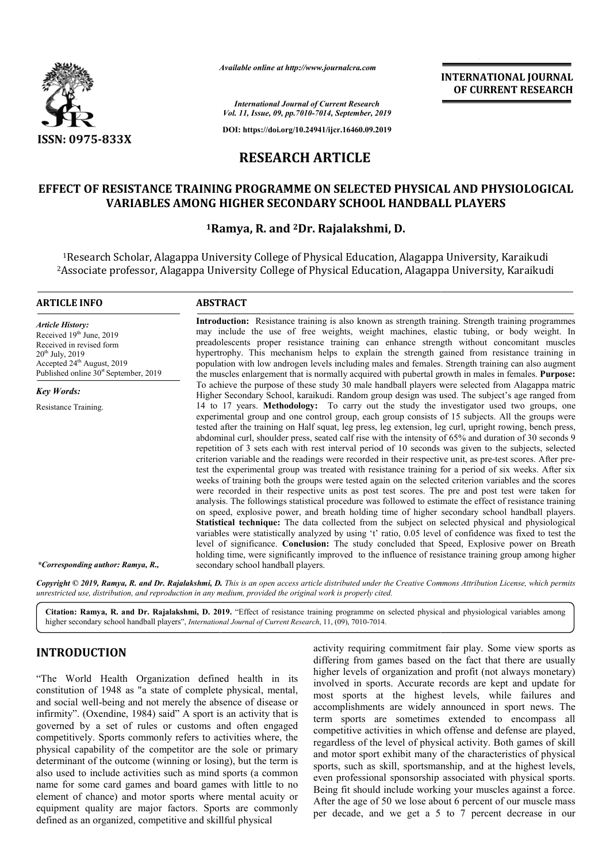

*Available online at http://www.journalcra.com*

## **INTERNATIONAL JOURNAL OF CURRENT RESEARCH**

*International Journal of Current Research Vol. 11, Issue, 09, pp.7010-7014, September, 2019*

**DOI: https://doi.org/10.24941/ijcr.16460.09.2019**

# **RESEARCH ARTICLE**

# **EFFECT OF RESISTANCE TRAINING PROGRAMME ON SELECTED PHYSICAL AND PHYSIOLOGICAL VARIABLES AMONG HIGHER SECONDARY SCHOOL HANDBALL PLAYERS HANDBALL PLAYERS**

## **1Ramya Ramya, R. and 2Dr. Rajalakshmi, D.**

<sup>1</sup>Research Scholar, Alagappa University College of Physical Education, Alagappa University, Karaikudi 1Research Scholar, Alagappa University College of Physical Education, Alagappa University, Karaikudi<br>2Associate professor, Alagappa University College of Physical Education, Alagappa University, Karaikudi

#### **ARTICLE INFO ABSTRACT**

*Article History:* Received 19<sup>th</sup> June, 2019 Received in revised form 20th July, 2019 Accepted 24<sup>th</sup> August, 2019 Published online 30<sup>st</sup> September, 2019

*Key Words: Key Words:*

Resistance Training.

**Introduction:** Resistance training is also known as strength training. Strength training programmes may include the use of free weights, weight machines, elastic tubing, or body weight. In preadolescents proper resistance training can enhance strength without concomita hypertrophy. This mechanism helps to explain the strength gained from resistance training in population with low androgen levels including males and females. Strength training can also augment the muscles enlargement that is normally acquired with pubertal growth in males in females. To achieve the purpose of these study 30 male handball players were selected from Alagappa matric Higher Secondary School, karaikudi. Random group design was used. The subject's age ranged from 14 to 17 years. **Methodology:** To carry out the study the investigator used two groups, one experimental group and one control group, each group consists of 15 subjects. All the groups were To achieve the purpose of these study 30 male handball players were selected from Alagappa matric Higher Secondary School, karaikudi. Random group design was used. The subject's age ranged from 14 to 17 years. **Methodology** abdominal curl, shoulder press, seated calf rise with the intensity of 65% and duration of 30 seconds 9 repetition of 3 sets each with rest interval period of 10 seconds was given to the subjects, selected criterion variable and the readings were recorded in their respective unit, as pre test the experimental group was treated with resistance training for a period of six weeks. After six test the experimental group was treated with resistance training for a period of six weeks. After six weeks of training both the groups were tested again on the selected criterion variables and the scores were recorded in their respective units as post test scores. The pre and post test were taken for analysis. The followings statistical procedure was followed to estimate the effect of resistance training on speed, explosive power, and breath holding time of higher secondary school handball players. **Statistical technique:** The data collected from the subject on selected physical and physiological were recorded in their respective units as post test scores. The pre and post test were taken for analysis. The followings statistical procedure was followed to estimate the effect of resistance training on speed, explosiv level of significance. **Conclusion:** The study concluded that Speed, Explosive power on Breath level of significance. **Conclusion:** The study concluded that Speed, Explosive power on Breath holding time, were significantly improved to the influence of resistance training group among higher secondary school handball players. Introduction: Resistance training is also known as strength training. Strength training programmes may include the use of free weights, weight machines, elastic tubing, or body weight. In preadolescents proper resistance t hypertrophy. This mechanism helps to explain the strength gained from resistance training in population with low androgen levels including males and females. Strength training can also augment the muscles enlargement that abdominal curl, shoulder press, seated calf rise with the intensity of 65% and duration of 30 seconds 9 repetition of 3 sets each with rest interval period of 10 seconds was given to the subjects, selected criterion variab **INTERNATIONAL JOURNAL FORMATIONAL JOURNAL FORMATIONAL JOURNAL CONTROL CONTROL TO THE CONTROL TO THE CONTROL AND CONTROL AND A Superconformation of**  $\mathbf{S}(\mathbf{H})$  **of**  $\mathbf{S}(\mathbf{H})$  **and**  $\mathbf{S}(\mathbf{H})$  **and**  $\mathbf{S}(\mathbf{H})$  **an** 

*\*Corresponding author: Ramya, R.,*

Copyright © 2019, Ramya, R. and Dr. Rajalakshmi, D. This is an open access article distributed under the Creative Commons Attribution License, which permits *unrestricted use, distribution, and reproduction in any medium, provided the original work is properly cited.*

Citation: Ramya, R. and Dr. Rajalakshmi, D. 2019. "Effect of resistance training programme on selected physical and physiological variables among higher secondary school handball players", *International Journal of Current Research*, 11, (09), 7010-7014.

## **INTRODUCTION**

"The World Health Organization defined health in its constitution of 1948 as "a state of complete physical, mental, and social well-being and not merely the absence of disease or infirmity". (Oxendine, 1984) said" A sport is an activity that is governed by a set of rules or customs and often engaged competitively. Sports commonly refers to activities where, the physical capability of the competitor are the sole or primary determinant of the outcome (winning or losing), but the term is also used to include activities such as mind sports (a common name for some card games and board games with little to no element of chance) and motor sports where mental acuity or equipment quality are major factors. Sports are commonly defined as an organized, competitive and skillful physical

**DUCTION**<br> **CON**<br> **CON**<br> **CON**<br> **CON**<br> **CON**<br> **CON**<br> **CON**<br> **CON**<br> **CON**<br> **CON**<br> **CON**<br> **CON**<br> **CON**<br> **CON**<br> **CON**<br> **CON**<br> **CON**<br> **CON**<br> **CON**<br> **CON**<br> **CON**<br> **CON**<br> **CON**<br> **CON**<br> **CON**<br> **CON**<br> **CON**<br> **CON**<br> **CON**<br> **CON**<br> differing from games based on the fact that there are usually higher levels of organization and profit (not always monetary) involved in sports. Accurate records are kept and update for most sports at the highest levels, while failures and accomplishments are widely announced in sport news. The term sports are sometimes extended to encompass all competitive activities in which offense and defense are played, regardless of the level of physical activity. Both games of skill and motor sport exhibit many of the characteristics of physical sports, such as skill, sportsmanship, and at the highest levels, even professional sponsorship associated with physical sports. Being fit should include working your muscles against a force. After the age of 50 we lose about 6 percent of our muscle mass per decade, and we get a 5 to 7 percent decrease in our activity requiring commitment fair play. Some view sports as differing from games based on the fact that there are usually higher levels of organization and profit (not always monetary) involved in sports. Accurate records of the level of physical activity. Both games of skill sport exhibit many of the characteristics of physical h as skill, sportsmanship, and at the highest levels,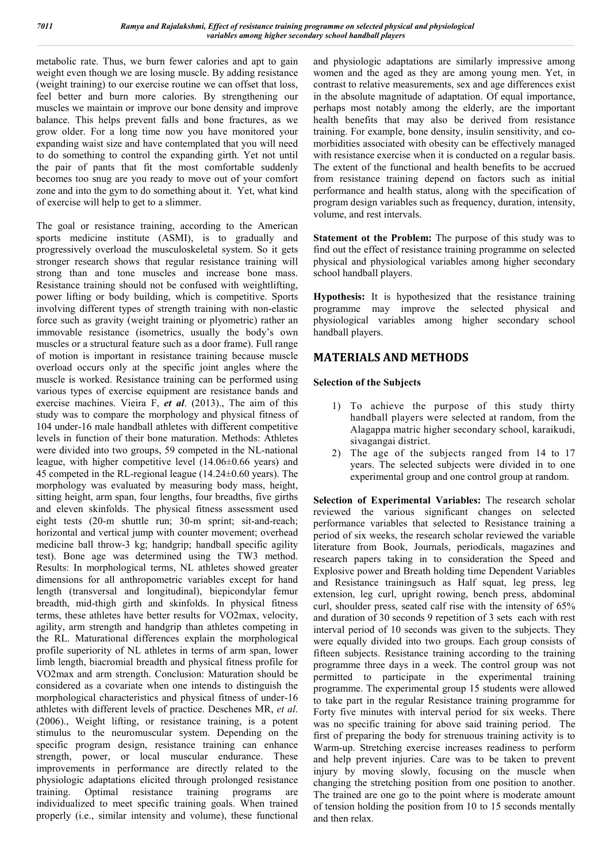metabolic rate. Thus, we burn fewer calories and apt to gain weight even though we are losing muscle. By adding resistance (weight training) to our exercise routine we can offset that loss, feel better and burn more calories. By strengthening our muscles we maintain or improve our bone density and improve balance. This helps prevent falls and bone fractures, as we grow older. For a long time now you have monitored your expanding waist size and have contemplated that you will need to do something to control the expanding girth. Yet not until the pair of pants that fit the most comfortable suddenly becomes too snug are you ready to move out of your comfort zone and into the gym to do something about it. Yet, what kind of exercise will help to get to a slimmer.

The goal or resistance training, according to the American sports medicine institute (ASMI), is to gradually and progressively overload the musculoskeletal system. So it gets stronger research shows that regular resistance training will strong than and tone muscles and increase bone mass. Resistance training should not be confused with weightlifting, power lifting or body building, which is competitive. Sports involving different types of strength training with non-elastic force such as gravity (weight training or plyometric) rather an immovable resistance (isometrics, usually the body's own muscles or a structural feature such as a door frame). Full range of motion is important in resistance training because muscle overload occurs only at the specific joint angles where the muscle is worked. Resistance training can be performed using various types of exercise equipment are resistance bands and exercise machines. Vieira F, *et al*. (2013)., The aim of this study was to compare the morphology and physical fitness of 104 under-16 male handball athletes with different competitive levels in function of their bone maturation. Methods: Athletes were divided into two groups, 59 competed in the NL-national league, with higher competitive level (14.06±0.66 years) and 45 competed in the RL-regional league (14.24±0.60 years). The morphology was evaluated by measuring body mass, height, sitting height, arm span, four lengths, four breadths, five girths and eleven skinfolds. The physical fitness assessment used eight tests (20-m shuttle run; 30-m sprint; sit-and-reach; horizontal and vertical jump with counter movement; overhead medicine ball throw-3 kg; handgrip; handball specific agility test). Bone age was determined using the TW3 method. Results: In morphological terms, NL athletes showed greater dimensions for all anthropometric variables except for hand length (transversal and longitudinal), biepicondylar femur breadth, mid-thigh girth and skinfolds. In physical fitness terms, these athletes have better results for VO2max, velocity, agility, arm strength and handgrip than athletes competing in the RL. Maturational differences explain the morphological profile superiority of NL athletes in terms of arm span, lower limb length, biacromial breadth and physical fitness profile for VO2max and arm strength. Conclusion: Maturation should be considered as a covariate when one intends to distinguish the morphological characteristics and physical fitness of under-16 athletes with different levels of practice. Deschenes MR, *et al*. (2006)., Weight lifting, or resistance training, is a potent stimulus to the neuromuscular system. Depending on the specific program design, resistance training can enhance strength, power, or local muscular endurance. These improvements in performance are directly related to the physiologic adaptations elicited through prolonged resistance training. Optimal resistance training programs are individualized to meet specific training goals. When trained properly (i.e., similar intensity and volume), these functional

and physiologic adaptations are similarly impressive among women and the aged as they are among young men. Yet, in contrast to relative measurements, sex and age differences exist in the absolute magnitude of adaptation. Of equal importance, perhaps most notably among the elderly, are the important health benefits that may also be derived from resistance training. For example, bone density, insulin sensitivity, and comorbidities associated with obesity can be effectively managed with resistance exercise when it is conducted on a regular basis. The extent of the functional and health benefits to be accrued from resistance training depend on factors such as initial performance and health status, along with the specification of program design variables such as frequency, duration, intensity, volume, and rest intervals.

**Statement ot the Problem:** The purpose of this study was to find out the effect of resistance training programme on selected physical and physiological variables among higher secondary school handball players.

**Hypothesis:** It is hypothesized that the resistance training programme may improve the selected physical and physiological variables among higher secondary school handball players.

## **MATERIALS AND METHODS**

### **Selection of the Subjects**

- 1) To achieve the purpose of this study thirty handball players were selected at random, from the Alagappa matric higher secondary school, karaikudi, sivagangai district.
- 2) The age of the subjects ranged from 14 to 17 years. The selected subjects were divided in to one experimental group and one control group at random.

**Selection of Experimental Variables:** The research scholar reviewed the various significant changes on selected performance variables that selected to Resistance training a period of six weeks, the research scholar reviewed the variable literature from Book, Journals, periodicals, magazines and research papers taking in to consideration the Speed and Explosive power and Breath holding time Dependent Variables and Resistance trainingsuch as Half squat, leg press, leg extension, leg curl, upright rowing, bench press, abdominal curl, shoulder press, seated calf rise with the intensity of 65% and duration of 30 seconds 9 repetition of 3 sets each with rest interval period of 10 seconds was given to the subjects. They were equally divided into two groups. Each group consists of fifteen subjects. Resistance training according to the training programme three days in a week. The control group was not permitted to participate in the experimental training programme. The experimental group 15 students were allowed to take part in the regular Resistance training programme for Forty five minutes with interval period for six weeks. There was no specific training for above said training period. The first of preparing the body for strenuous training activity is to Warm-up. Stretching exercise increases readiness to perform and help prevent injuries. Care was to be taken to prevent injury by moving slowly, focusing on the muscle when changing the stretching position from one position to another. The trained are one go to the point where is moderate amount of tension holding the position from 10 to 15 seconds mentally and then relax.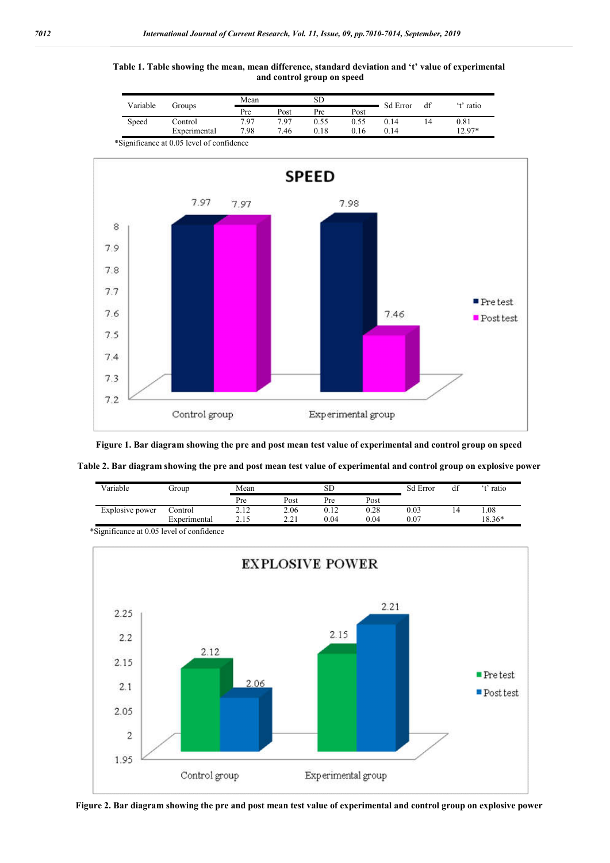





**Figure 1. Bar diagram showing the pre and post mean test value of experimental and control group on speed**

|  |  |  | Table 2. Bar diagram showing the pre and post mean test value of experimental and control group on explosive power |  |
|--|--|--|--------------------------------------------------------------------------------------------------------------------|--|
|  |  |  |                                                                                                                    |  |

| Variable        | Group        | Mean  |               |      | SD   |      | df | t' ratio |
|-----------------|--------------|-------|---------------|------|------|------|----|----------|
|                 |              | Pre   | Post          | Pre  | Post |      |    |          |
| Explosive power | Control      | 2.12  | 2.06          | 0.12 | 0.28 | 0.03 | 14 | .08      |
|                 | Experimental | ل 1 . | 2.21<br>2.Z P | 0.04 | 0.04 | 0.07 |    | 18.36*   |

\*Significance at 0.05 level of confidence



**Figure 2. Bar diagram showing the pre and post mean test value of experimental and control group on explosive power**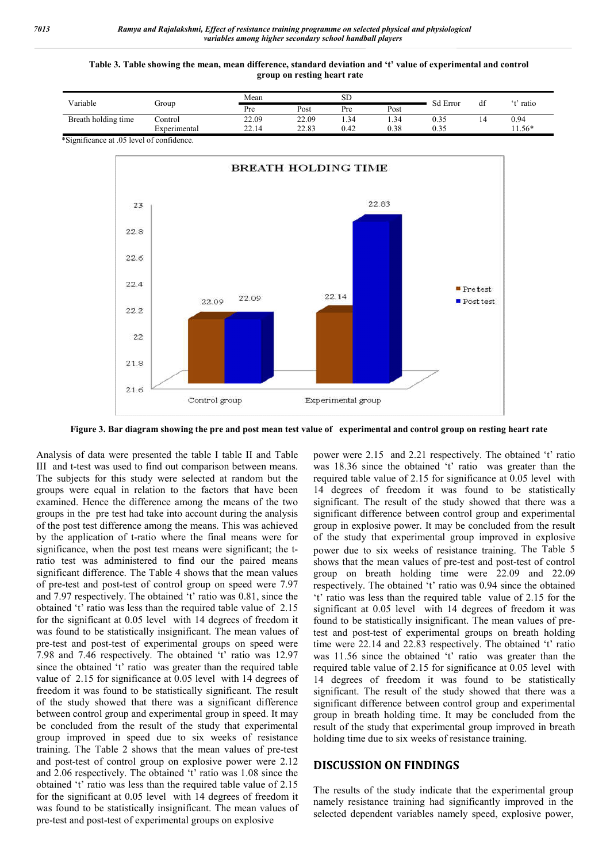#### **Table 3. Table showing the mean, mean difference, standard deviation and 't' value of experimental and control group on resting heart rate**

| Variable                               | Group              | Mean  |       | <b>SD</b> |      | <b>Sd Error</b> |    | 42      |
|----------------------------------------|--------------------|-------|-------|-----------|------|-----------------|----|---------|
|                                        |                    | Pre   | Post  | Pre       | Post |                 | df | ' ratio |
| Breath holding time                    | Control            | 22.09 | 22.09 | 1.34      | 1.34 | ົ່າ =<br>U.33   | 14 | 0.94    |
|                                        | Experimental       | 22.14 | 22.83 | 0.42      | 0.38 | 0.35            |    | $1.56*$ |
| 1.021<br>$\cdot$ $\sim$<br>$\sim$ $-1$ | $\sim$ 1<br>$\sim$ |       |       |           |      |                 |    |         |

\*Significance at .05 level of confidence.



**Figure 3. Bar diagram showing the pre and post mean test value of experimental and control group on resting heart rate**

Analysis of data were presented the table I table II and Table III and t-test was used to find out comparison between means. The subjects for this study were selected at random but the groups were equal in relation to the factors that have been examined. Hence the difference among the means of the two groups in the pre test had take into account during the analysis of the post test difference among the means. This was achieved by the application of t-ratio where the final means were for significance, when the post test means were significant; the tratio test was administered to find our the paired means significant difference. The Table 4 shows that the mean values of pre-test and post-test of control group on speed were 7.97 and 7.97 respectively. The obtained 't' ratio was 0.81, since the obtained 't' ratio was less than the required table value of 2.15 for the significant at 0.05 level with 14 degrees of freedom it was found to be statistically insignificant. The mean values of pre-test and post-test of experimental groups on speed were 7.98 and 7.46 respectively. The obtained 't' ratio was 12.97 since the obtained 't' ratio was greater than the required table value of 2.15 for significance at 0.05 level with 14 degrees of freedom it was found to be statistically significant. The result of the study showed that there was a significant difference between control group and experimental group in speed. It may be concluded from the result of the study that experimental group improved in speed due to six weeks of resistance training. The Table 2 shows that the mean values of pre-test and post-test of control group on explosive power were 2.12 and 2.06 respectively. The obtained 't' ratio was 1.08 since the obtained 't' ratio was less than the required table value of 2.15 for the significant at 0.05 level with 14 degrees of freedom it was found to be statistically insignificant. The mean values of pre-test and post-test of experimental groups on explosive

power were 2.15 and 2.21 respectively. The obtained 't' ratio was 18.36 since the obtained 't' ratio was greater than the required table value of 2.15 for significance at 0.05 level with 14 degrees of freedom it was found to be statistically significant. The result of the study showed that there was a significant difference between control group and experimental group in explosive power. It may be concluded from the result of the study that experimental group improved in explosive power due to six weeks of resistance training. The Table 5 shows that the mean values of pre-test and post-test of control group on breath holding time were 22.09 and 22.09 respectively. The obtained 't' ratio was 0.94 since the obtained 't' ratio was less than the required table value of 2.15 for the significant at 0.05 level with 14 degrees of freedom it was found to be statistically insignificant. The mean values of pretest and post-test of experimental groups on breath holding time were 22.14 and 22.83 respectively. The obtained 't' ratio was 11.56 since the obtained 't' ratio was greater than the required table value of 2.15 for significance at 0.05 level with 14 degrees of freedom it was found to be statistically significant. The result of the study showed that there was a significant difference between control group and experimental group in breath holding time. It may be concluded from the result of the study that experimental group improved in breath holding time due to six weeks of resistance training.

#### **DISCUSSION ON FINDINGS**

The results of the study indicate that the experimental group namely resistance training had significantly improved in the selected dependent variables namely speed, explosive power,